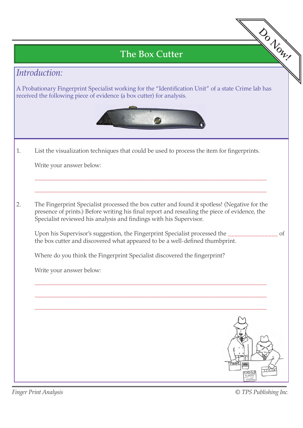# The Box Cutter

## *Introduction:*

A Probationary Fingerprint Specialist working for the "Identification Unit" of a state Crime lab has received the following piece of evidence (a box cutter) for analysis.



\_\_\_\_\_\_\_\_\_\_\_\_\_\_\_\_\_\_\_\_\_\_\_\_\_\_\_\_\_\_\_\_\_\_\_\_\_\_\_\_\_\_\_\_\_\_\_\_\_\_\_\_\_\_\_\_\_\_\_\_\_\_\_\_\_\_\_\_\_\_\_\_\_\_\_\_

\_\_\_\_\_\_\_\_\_\_\_\_\_\_\_\_\_\_\_\_\_\_\_\_\_\_\_\_\_\_\_\_\_\_\_\_\_\_\_\_\_\_\_\_\_\_\_\_\_\_\_\_\_\_\_\_\_\_\_\_\_\_\_\_\_\_\_\_\_\_\_\_\_\_\_\_

### 1. List the visualization techniques that could be used to process the item for fingerprints.

Write your answer below:

2. The Fingerprint Specialist processed the box cutter and found it spotless! (Negative for the presence of prints.) Before writing his final report and resealing the piece of evidence, the Specialist reviewed his analysis and findings with his Supervisor.

 Upon his Supervisor's suggestion, the Fingerprint Specialist processed the \_\_\_\_\_\_\_\_\_\_\_\_\_\_\_ of the box cutter and discovered what appeared to be a well-defined thumbprint.

\_\_\_\_\_\_\_\_\_\_\_\_\_\_\_\_\_\_\_\_\_\_\_\_\_\_\_\_\_\_\_\_\_\_\_\_\_\_\_\_\_\_\_\_\_\_\_\_\_\_\_\_\_\_\_\_\_\_\_\_\_\_\_\_\_\_\_\_\_\_\_\_\_\_\_\_

\_\_\_\_\_\_\_\_\_\_\_\_\_\_\_\_\_\_\_\_\_\_\_\_\_\_\_\_\_\_\_\_\_\_\_\_\_\_\_\_\_\_\_\_\_\_\_\_\_\_\_\_\_\_\_\_\_\_\_\_\_\_\_\_\_\_\_\_\_\_\_\_\_\_\_\_

Where do you think the Fingerprint Specialist discovered the fingerprint?

Write your answer below:



*Finger Print Analysis*

*© TPS Publishing Inc.*

- Do Now!